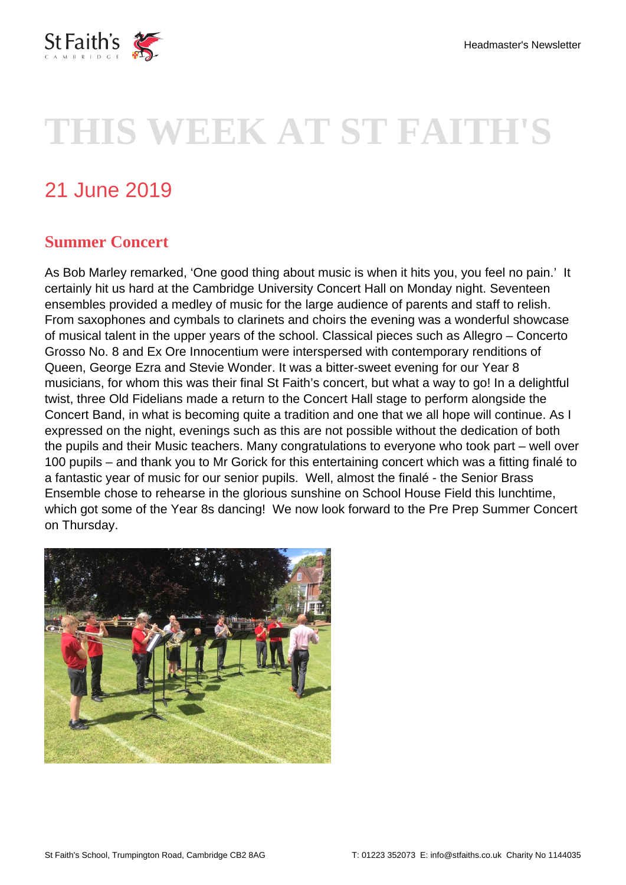

# **THIS WEEK AT ST FAITH'S**

## 21 June 2019

#### **Summer Concert**

As Bob Marley remarked, 'One good thing about music is when it hits you, you feel no pain.' It certainly hit us hard at the Cambridge University Concert Hall on Monday night. Seventeen ensembles provided a medley of music for the large audience of parents and staff to relish. From saxophones and cymbals to clarinets and choirs the evening was a wonderful showcase of musical talent in the upper years of the school. Classical pieces such as Allegro – Concerto Grosso No. 8 and Ex Ore Innocentium were interspersed with contemporary renditions of Queen, George Ezra and Stevie Wonder. It was a bitter-sweet evening for our Year 8 musicians, for whom this was their final St Faith's concert, but what a way to go! In a delightful twist, three Old Fidelians made a return to the Concert Hall stage to perform alongside the Concert Band, in what is becoming quite a tradition and one that we all hope will continue. As I expressed on the night, evenings such as this are not possible without the dedication of both the pupils and their Music teachers. Many congratulations to everyone who took part – well over 100 pupils – and thank you to Mr Gorick for this entertaining concert which was a fitting finalé to a fantastic year of music for our senior pupils. Well, almost the finalé - the Senior Brass Ensemble chose to rehearse in the glorious sunshine on School House Field this lunchtime, which got some of the Year 8s dancing! We now look forward to the Pre Prep Summer Concert on Thursday.

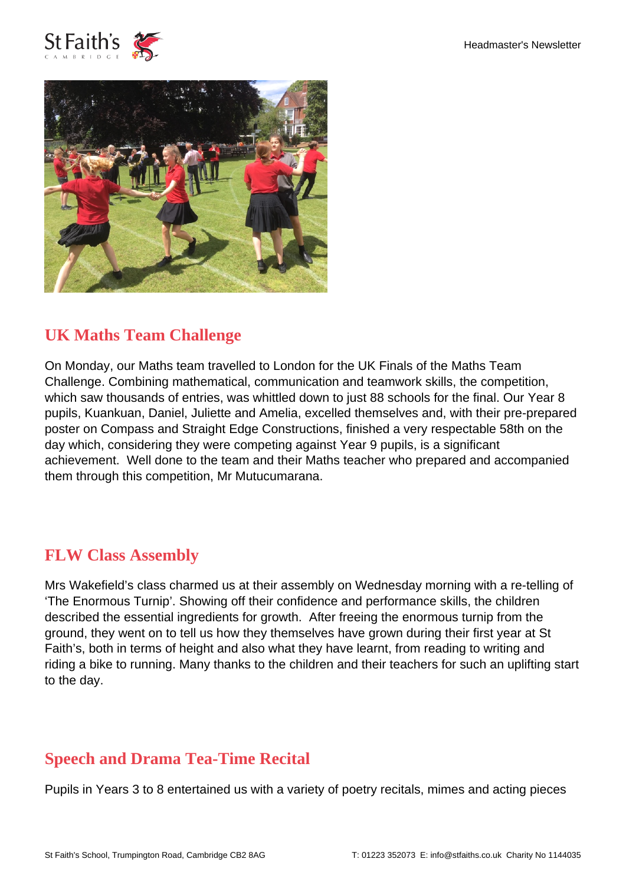



#### **UK Maths Team Challenge**

On Monday, our Maths team travelled to London for the UK Finals of the Maths Team Challenge. Combining mathematical, communication and teamwork skills, the competition, which saw thousands of entries, was whittled down to just 88 schools for the final. Our Year 8 pupils, Kuankuan, Daniel, Juliette and Amelia, excelled themselves and, with their pre-prepared poster on Compass and Straight Edge Constructions, finished a very respectable 58th on the day which, considering they were competing against Year 9 pupils, is a significant achievement. Well done to the team and their Maths teacher who prepared and accompanied them through this competition, Mr Mutucumarana.

#### **FLW Class Assembly**

Mrs Wakefield's class charmed us at their assembly on Wednesday morning with a re-telling of 'The Enormous Turnip'. Showing off their confidence and performance skills, the children described the essential ingredients for growth. After freeing the enormous turnip from the ground, they went on to tell us how they themselves have grown during their first year at St Faith's, both in terms of height and also what they have learnt, from reading to writing and riding a bike to running. Many thanks to the children and their teachers for such an uplifting start to the day.

### **Speech and Drama Tea-Time Recital**

Pupils in Years 3 to 8 entertained us with a variety of poetry recitals, mimes and acting pieces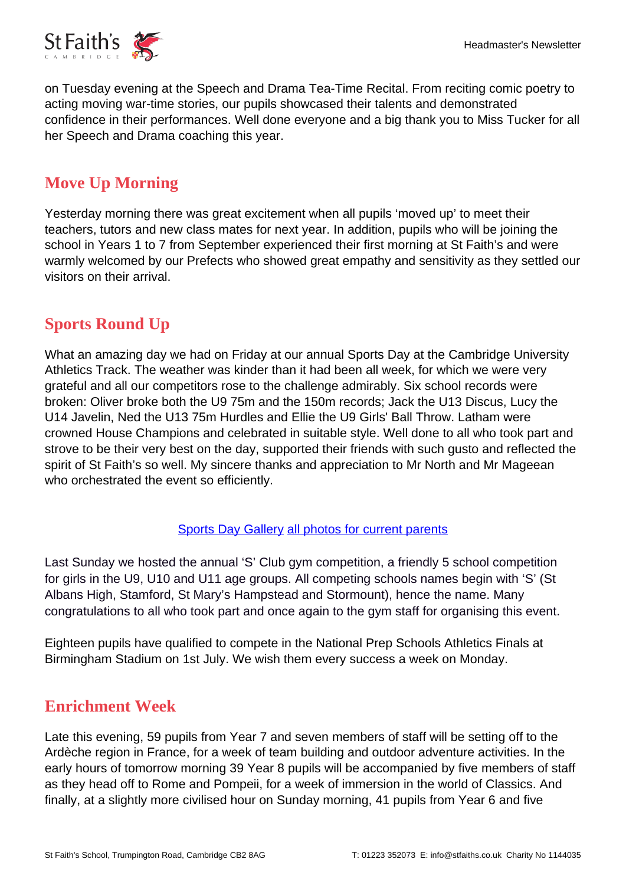

on Tuesday evening at the Speech and Drama Tea-Time Recital. From reciting comic poetry to acting moving war-time stories, our pupils showcased their talents and demonstrated confidence in their performances. Well done everyone and a big thank you to Miss Tucker for all her Speech and Drama coaching this year.

### **Move Up Morning**

Yesterday morning there was great excitement when all pupils 'moved up' to meet their teachers, tutors and new class mates for next year. In addition, pupils who will be joining the school in Years 1 to 7 from September experienced their first morning at St Faith's and were warmly welcomed by our Prefects who showed great empathy and sensitivity as they settled our visitors on their arrival.

### **Sports Round Up**

What an amazing day we had on Friday at our annual Sports Day at the Cambridge University Athletics Track. The weather was kinder than it had been all week, for which we were very grateful and all our competitors rose to the challenge admirably. Six school records were broken: Oliver broke both the U9 75m and the 150m records; Jack the U13 Discus, Lucy the U14 Javelin, Ned the U13 75m Hurdles and Ellie the U9 Girls' Ball Throw. Latham were crowned House Champions and celebrated in suitable style. Well done to all who took part and strove to be their very best on the day, supported their friends with such gusto and reflected the spirit of St Faith's so well. My sincere thanks and appreciation to Mr North and Mr Mageean who orchestrated the event so efficiently.

#### [Sports Day Gallery](https://www.stfaiths.co.uk/gallery/sport-day-2019/) [all photos for current parents](https://i.stfaiths.co.uk/media/sports-day-2019)

Last Sunday we hosted the annual 'S' Club gym competition, a friendly 5 school competition for girls in the U9, U10 and U11 age groups. All competing schools names begin with 'S' (St Albans High, Stamford, St Mary's Hampstead and Stormount), hence the name. Many congratulations to all who took part and once again to the gym staff for organising this event.

Eighteen pupils have qualified to compete in the National Prep Schools Athletics Finals at Birmingham Stadium on 1st July. We wish them every success a week on Monday.

#### **Enrichment Week**

Late this evening, 59 pupils from Year 7 and seven members of staff will be setting off to the Ardèche region in France, for a week of team building and outdoor adventure activities. In the early hours of tomorrow morning 39 Year 8 pupils will be accompanied by five members of staff as they head off to Rome and Pompeii, for a week of immersion in the world of Classics. And finally, at a slightly more civilised hour on Sunday morning, 41 pupils from Year 6 and five